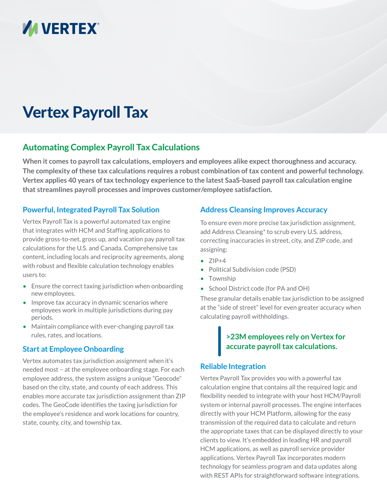

# Vertex Payroll Tax

# **Automating Complex Payroll Tax Calculations**

**When it comes to payroll tax calculations, employers and employees alike expect thoroughness and accuracy. The complexity of these tax calculations requires a robust combination of tax content and powerful technology. Vertex applies 40 years of tax technology experience to the latest SaaS-based payroll tax calculation engine that streamlines payroll processes and improves customer/employee satisfaction.**

# **Powerful, Integrated Payroll Tax Solution**

Vertex Payroll Tax is a powerful automated tax engine that integrates with HCM and Staffing applications to provide gross-to-net, gross up, and vacation pay payroll tax calculations for the U.S. and Canada. Comprehensive tax content, including locals and reciprocity agreements, along with robust and flexible calculation technology enables users to:

- Ensure the correct taxing jurisdiction when onboarding new employees.
- Improve tax accuracy in dynamic scenarios where employees work in multiple jurisdictions during pay periods.
- Maintain compliance with ever-changing payroll tax rules, rates, and locations.

#### **Start at Employee Onboarding**

Vertex automates tax jurisdiction assignment when it's needed most – at the employee onboarding stage. For each employee address, the system assigns a unique "Geocode" based on the city, state, and county of each address. This enables more accurate tax jurisdiction assignment than ZIP codes. The GeoCode identifies the taxing jurisdiction for the employee's residence and work locations for country, state, county, city, and township tax.

## **Address Cleansing Improves Accuracy**

To ensure even more precise tax jurisdiction assignment, add Address Cleansing\* to scrub every U.S. address, correcting inaccuracies in street, city, and ZIP code, and assigning:

- $\bullet$  ZIP+4
- Political Subdivision code (PSD)
- Township
- School District code (for PA and OH)

These granular details enable tax jurisdiction to be assigned at the "side of street" level for even greater accuracy when calculating payroll withholdings.

# **>23M employees rely on Vertex for accurate payroll tax calculations.**

#### **Reliable Integration**

Vertex Payroll Tax provides you with a powerful tax calculation engine that contains all the required logic and flexibility needed to integrate with your host HCM/Payroll system or internal payroll processes. The engine interfaces directly with your HCM Platform, allowing for the easy transmission of the required data to calculate and return the appropriate taxes that can be displayed directly to your clients to view. It's embedded in leading HR and payroll HCM applications, as well as payroll service provider applications. Vertex Payroll Tax incorporates modern technology for seamless program and data updates along with REST APIs for straightforward software integrations.